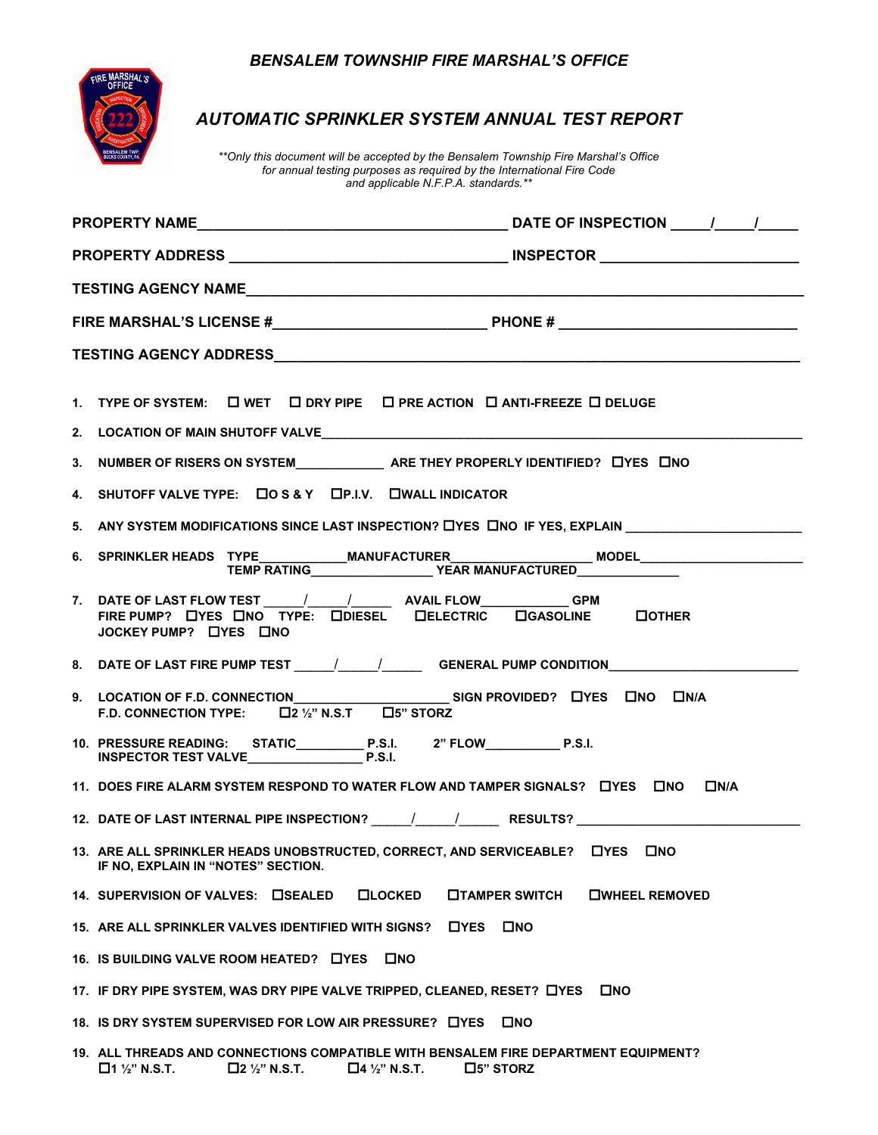## *BENSALEM TOWNSHIP FIRE MARSHAL'S OFFICE*



## *AUTOMATIC SPRINKLER SYSTEM ANNUAL TEST REPORT*

*\*\*Only this document will be accepted by the Bensalem Township Fire Marshal's Office for annual testing purposes as required by the International Fire Code and applicable N.F.P.A. standards.\*\**

|  | 1. TYPE OF SYSTEM: $\Box$ WET $\Box$ DRY PIPE $\Box$ PRE ACTION $\Box$ ANTI-FREEZE $\Box$ DELUGE                                                                                  |  |  |  |  |
|--|-----------------------------------------------------------------------------------------------------------------------------------------------------------------------------------|--|--|--|--|
|  |                                                                                                                                                                                   |  |  |  |  |
|  |                                                                                                                                                                                   |  |  |  |  |
|  | 4. SHUTOFF VALVE TYPE: COS&Y CP.I.V. CWALL INDICATOR                                                                                                                              |  |  |  |  |
|  | 5. ANY SYSTEM MODIFICATIONS SINCE LAST INSPECTION? LYES LINO IF YES, EXPLAIN LATER AND MODIFICATIONS                                                                              |  |  |  |  |
|  | 6. SPRINKLER HEADS TYPE_____________MANUFACTURER________________________________<br>TEMP RATING__________________YEAR MANUFACTURED___________________________________             |  |  |  |  |
|  | 7. DATE OF LAST FLOW TEST _____/_____/__________ AVAIL FLOW_______________GPM<br>FIRE PUMP? LYES LINO TYPE: LONESEL LIELECTRIC LIGASOLINE LOTHER<br>JOCKEY PUMP? LYES LINO        |  |  |  |  |
|  | 8. DATE OF LAST FIRE PUMP TEST ______/______/__________GENERAL PUMP CONDITION______________________                                                                               |  |  |  |  |
|  | F.D. CONNECTION TYPE: $\Box$ 2 1/2" N.S.T $\Box$ 5" STORZ                                                                                                                         |  |  |  |  |
|  |                                                                                                                                                                                   |  |  |  |  |
|  | 11. DOES FIRE ALARM SYSTEM RESPOND TO WATER FLOW AND TAMPER SIGNALS? LIYES LINO LIN/A                                                                                             |  |  |  |  |
|  |                                                                                                                                                                                   |  |  |  |  |
|  | 13. ARE ALL SPRINKLER HEADS UNOBSTRUCTED, CORRECT, AND SERVICEABLE? LYES LINO<br>IF NO, EXPLAIN IN "NOTES" SECTION.                                                               |  |  |  |  |
|  | 14. SUPERVISION OF VALVES: CISEALED<br><b>OLOCKED</b><br><b>OTAMPER SWITCH</b><br><b>OWHEEL REMOVED</b>                                                                           |  |  |  |  |
|  | 15. ARE ALL SPRINKLER VALVES IDENTIFIED WITH SIGNS? DYES<br><b>C</b> NO                                                                                                           |  |  |  |  |
|  | 16. IS BUILDING VALVE ROOM HEATED? LIYES LINO                                                                                                                                     |  |  |  |  |
|  | 17. IF DRY PIPE SYSTEM, WAS DRY PIPE VALVE TRIPPED, CLEANED, RESET? LYES<br><b>OND</b>                                                                                            |  |  |  |  |
|  | 18. IS DRY SYSTEM SUPERVISED FOR LOW AIR PRESSURE? LYES<br><b>LINO</b>                                                                                                            |  |  |  |  |
|  | 19. ALL THREADS AND CONNECTIONS COMPATIBLE WITH BENSALEM FIRE DEPARTMENT EQUIPMENT?<br>$\Box$ 1 1/2" N.S.T.<br>$\square$ 2 1/2" N.S.T.<br>$\Box$ 5" STORZ<br>$\Box$ 4 1/2" N.S.T. |  |  |  |  |